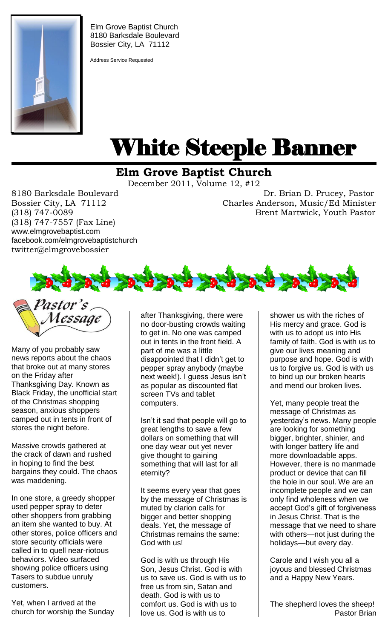

Elm Grove Baptist Church 8180 Barksdale Boulevard Bossier City, LA 71112

Address Service Requested

# White Steeple Banner ı

## **Elm Grove Baptist Church**

December 2011, Volume 12, #12

(318) 747-7557 (Fax Line) www.elmgrovebaptist.com facebook.com/elmgrovebaptistchurch twitter@elmgrovebossier

8180 Barksdale Boulevard Dr. Brian D. Prucey, Pastor Bossier City, LA 71112 Charles Anderson, Music/Ed Minister (318) 747-0089 Brent Martwick, Youth Pastor



Many of you probably saw news reports about the chaos that broke out at many stores on the Friday after Thanksgiving Day. Known as Black Friday, the unofficial start of the Christmas shopping season, anxious shoppers camped out in tents in front of stores the night before.

Massive crowds gathered at the crack of dawn and rushed in hoping to find the best bargains they could. The chaos was maddening.

In one store, a greedy shopper used pepper spray to deter other shoppers from grabbing an item she wanted to buy. At other stores, police officers and store security officials were called in to quell near-riotous behaviors. Video surfaced showing police officers using Tasers to subdue unruly customers.

Yet, when I arrived at the church for worship the Sunday after Thanksgiving, there were no door-busting crowds waiting to get in. No one was camped out in tents in the front field. A part of me was a little disappointed that I didn't get to pepper spray anybody (maybe next week!). I guess Jesus isn't as popular as discounted flat screen TVs and tablet computers.

Isn't it sad that people will go to great lengths to save a few dollars on something that will one day wear out yet never give thought to gaining something that will last for all eternity?

It seems every year that goes by the message of Christmas is muted by clarion calls for bigger and better shopping deals. Yet, the message of Christmas remains the same: God with us!

God is with us through His Son, Jesus Christ. God is with us to save us. God is with us to free us from sin, Satan and death. God is with us to comfort us. God is with us to love us. God is with us to

shower us with the riches of His mercy and grace. God is with us to adopt us into His family of faith. God is with us to give our lives meaning and purpose and hope. God is with us to forgive us. God is with us to bind up our broken hearts and mend our broken lives.

Yet, many people treat the message of Christmas as yesterday's news. Many people are looking for something bigger, brighter, shinier, and with longer battery life and more downloadable apps. However, there is no manmade product or device that can fill the hole in our soul. We are an incomplete people and we can only find wholeness when we accept God's gift of forgiveness in Jesus Christ. That is the message that we need to share with others—not just during the holidays—but every day.

Carole and I wish you all a joyous and blessed Christmas and a Happy New Years.

The shepherd loves the sheep! Pastor Brian